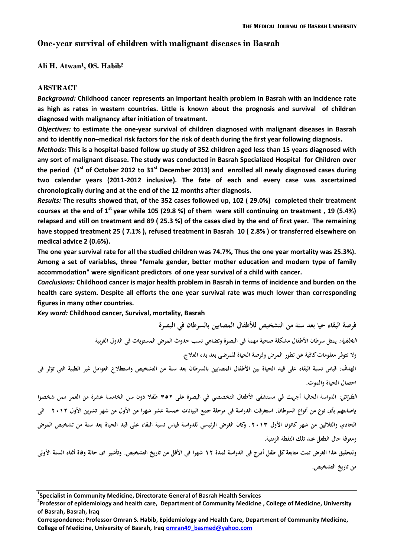# **One-year survival of children with malignant diseases in Basrah**

## **Ali H. Atwan<sup>1</sup> , OS. Habib<sup>2</sup>**

## **ABSTRACT**

*Background:* **Childhood cancer represents an important health problem in Basrah with an incidence rate as high as rates in western countries. Little is known about the prognosis and survival of children diagnosed with malignancy after initiation of treatment.**

*Objectives:* **to estimate the one-year survival of children diagnosed with malignant diseases in Basrah and to identify non–medical risk factors for the risk of death during the first year following diagnosis.**

*Methods:* **This is a hospital-based follow up study of 352 children aged less than 15 years diagnosed with any sort of malignant disease. The study was conducted in Basrah Specialized Hospital for Children over the period (1st of October 2012 to 31st December 2013) and enrolled all newly diagnosed cases during two calendar years (2011-2012 inclusive). The fate of each and every case was ascertained chronologically during and at the end of the 12 months after diagnosis.**

*Results:* **The results showed that, of the 352 cases followed up, 102 ( 29.0%) completed their treatment courses at the end of 1st year while 105 (29.8 %) of them were still continuing on treatment , 19 (5.4%) relapsed and still on treatment and 89 ( 25.3 %) of the cases died by the end of first year. The remaining have stopped treatment 25 ( 7.1% ), refused treatment in Basrah 10 ( 2.8% ) or transferred elsewhere on medical advice 2 (0.6%).**

**The one year survival rate for all the studied children was 74.7%, Thus the one year mortality was 25.3%). Among a set of variables, three "female gender, better mother education and modern type of family accommodation" were significant predictors of one year survival of a child with cancer.** 

*Conclusions:* **Childhood cancer is major health problem in Basrah in terms of incidence and burden on the health care system. Despite all efforts the one year survival rate was much lower than corresponding figures in many other countries.**

*Key word:* **Childhood cancer, Survival, mortality, Basrah**

**فرصة البقاء حيا بعد سنة من التشخيص لألطفال المصابين بالسرطان في البصرة الخلفية: يمثل سرطان األطفال مشكلة صحية مهمة في البصرة وتضاهي نسب حدوث المرض المستويات في الدول الغربية وال تتوفر معلومات كافية عن تطور المرض وفرصة الحياة للمرضى بعد بدء العالج. الهدف: قياس نسبة البقاء على قيد الحياة بين األطفال المصابين بالسرطان بعد سنة من التشخيص واستطالع العوامل غير الطبية التي تؤثر في احتمال الحياة والموت.**

**الطرائق: الدراسة الحالية أجريت في مستشفى األطفال التخصصي في البصرة على 253 طفال دون سن الخامسة عشرة من العمر ممن شخصوا بإصابتهم بأي نوع من أنواع السرطان. استغرقت الدراسة في مرحلة جمع البيانات خمسة عشر شهرا من األول من شهر تشرين األول 3103 الى الحادي والثالثين من شهر كانون األول .3102 وكان الغرض الرئيسي للدراسة قياس نسبة البقاء على قيد الحياة بعد سنة من تشخيص المرض ومعرفة حال الطفل عند تلك النقطة الزمنية.** 

**ولتحقيق هذا الغرض تمت متابعة كل طفل أدرج في الدراسة لمدة 03 شهرا في األقل من تاريخ التشخيص. وتأشير اي حالة وفاة أثناء السنة األولى من تاريخ التشخيص.** 

**<sup>1</sup> Specialist in Community Medicine, Directorate General of Basrah Health Services**

**<sup>2</sup> Professor of epidemiology and health care, Department of Community Medicine , College of Medicine, University of Basrah, Basrah, Iraq**

**Correspondence: Professor Omran S. Habib, Epidemiology and Health Care, Department of Community Medicine, College of Medicine, University of Basrah, Iraq omran49\_basmed@yahoo.com**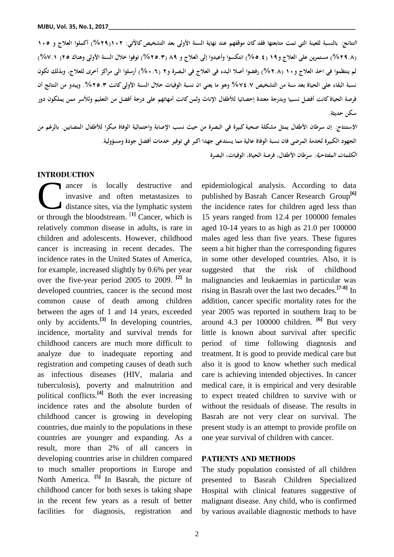**النتائج: بالنسبة للعينة التي تمت متابعتها فقد كان موقفهم عند نهاية السنة األولى بعد التشخيص كاآلتي: 013)%33( أكملوا العالج و 015 )%33.2( مستمرين على العالج و03 )%5.5( انتكسوا وأعيدوا إلى العالج و 23 )%35.2( توفوا خالل السنة األولى وهناك 35) %1.0( لم ينتظموا في اخذ العالج و01 )%3.2( رفضوا أصال البدء في العالج في البصرة و3 )%1.0( أرسلوا الى مراكز أخرى للعالج, وبذلك تكون نسبة البقاء على الحياة بعد سنة من التشخيص %15.1 وهو ما يعني ان نسبة الوفيات خالل السنة األولى كانت .%35.2 ويبدو من النتائج أن فرصة الحياة كانت أفضل نسبيا وبدرجة معتدة إحصائيا لألطفال اإلناث ولمن كانت أمهاتهم على درجة أفضل من التعليم ولألسر ممن يملكون دور سكن حديثة.**

**االستنتاج: إن سرطان األطفال يمثل مشكلة صحية كبيرة في البصرة من حيث نسب اإلصابة واحتمالية الوفاة مبكرا لألطفال المصابين. بالرغم من الجهود الكبيرة لخدمة المرضى فان نسبة الوفاة عالية مما يستدعى جهدا اكبر في توفير خدمات أفضل جودة ومسؤولية. الكلمات المفتاحية: سرطان األطفال, فرصة الحياة, الوفيات, البصرة**

#### **INTRODUCTION**

ancer is locally destructive and invasive and often metastasizes to distance sites, via the lymphatic system ancer is locally destructive and<br>invasive and often metastasizes to<br>distance sites, via the lymphatic system<br>or through the bloodstream. <sup>[1]</sup> Cancer, which is relatively common disease in adults, is rare in children and adolescents. However, childhood cancer is increasing in recent decades. The incidence rates in the United States of America, for example, increased slightly by 0.6% per year over the five-year period 2005 to 2009. **[2]** In developed countries, cancer is the second most common cause of death among children between the ages of 1 and 14 years, exceeded only by accidents.**[3]** In developing countries, incidence, mortality and survival trends for childhood cancers are much more difficult to analyze due to inadequate reporting and registration and competing causes of death such as infectious diseases (HIV, malaria and tuberculosis), poverty and malnutrition and political conflicts.**[4]** Both the ever increasing incidence rates and the absolute burden of childhood cancer is growing in developing countries, due mainly to the populations in these countries are younger and expanding. As a result, more than 2% of all cancers in developing countries arise in children compared to much smaller proportions in Europe and North America. **[5]** In Basrah, the picture of childhood cancer for both sexes is taking shape in the recent few years as a result of better facilities for diagnosis, registration and

epidemiological analysis. According to data published by Basrah Cancer Research Group**[6]** the incidence rates for children aged less than 15 years ranged from 12.4 per 100000 females aged 10-14 years to as high as 21.0 per 100000 males aged less than five years. These figures seem a bit higher than the corresponding figures in some other developed countries. Also, it is suggested that the risk of childhood malignancies and leukaemias in particular was rising in Basrah over the last two decades.**[7-8]** In addition, cancer specific mortality rates for the year 2005 was reported in southern Iraq to be around 4.3 per 100000 children. **[6]** But very little is known about survival after specific period of time following diagnosis and treatment. It is good to provide medical care but also it is good to know whether such medical care is achieving intended objectives. In cancer medical care, it is empirical and very desirable to expect treated children to survive with or without the residuals of disease. The results in Basrah are not very clear on survival. The present study is an attempt to provide profile on one year survival of children with cancer.

#### **PATIENTS AND METHODS**

The study population consisted of all children presented to Basrah Children Specialized Hospital with clinical features suggestive of malignant disease. Any child, who is confirmed by various available diagnostic methods to have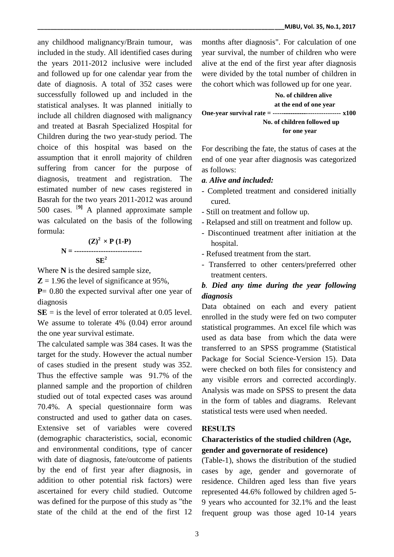any childhood malignancy/Brain tumour, was included in the study. All identified cases during the years 2011-2012 inclusive were included and followed up for one calendar year from the date of diagnosis. A total of 352 cases were successfully followed up and included in the statistical analyses. It was planned initially to include all children diagnosed with malignancy and treated at Basrah Specialized Hospital for Children during the two year-study period. The choice of this hospital was based on the assumption that it enroll majority of children suffering from cancer for the purpose of diagnosis, treatment and registration. The estimated number of new cases registered in Basrah for the two years 2011-2012 was around 500 cases. [**9]** A planned approximate sample was calculated on the basis of the following formula:

$$
N = \frac{(Z)^2 \times P (1-P)}{SE^2}
$$

Where **N** is the desired sample size,

 $\mathbb{Z} = 1.96$  the level of significance at 95%,

**P**= 0.80 the expected survival after one year of diagnosis

 $SE =$  is the level of error tolerated at 0.05 level. We assume to tolerate 4% (0.04) error around the one year survival estimate.

The calculated sample was 384 cases. It was the target for the study. However the actual number of cases studied in the present study was 352. Thus the effective sample was 91.7% of the planned sample and the proportion of children studied out of total expected cases was around 70.4%. A special questionnaire form was constructed and used to gather data on cases. Extensive set of variables were covered (demographic characteristics, social, economic and environmental conditions, type of cancer with date of diagnosis, fate/outcome of patients by the end of first year after diagnosis, in addition to other potential risk factors) were ascertained for every child studied. Outcome was defined for the purpose of this study as "the state of the child at the end of the first 12

months after diagnosis". For calculation of one year survival, the number of children who were alive at the end of the first year after diagnosis were divided by the total number of children in the cohort which was followed up for one year.

 **No. of children alive at the end of one year One-year survival rate = ------------------------------- x100 No. of children followed up for one year**

For describing the fate, the status of cases at the end of one year after diagnosis was categorized as follows:

### *a. Alive and included:*

- Completed treatment and considered initially cured.
- Still on treatment and follow up.
- Relapsed and still on treatment and follow up.
- Discontinued treatment after initiation at the hospital.
- Refused treatment from the start.
- Transferred to other centers/preferred other treatment centers.

# *b. Died any time during the year following diagnosis*

Data obtained on each and every patient enrolled in the study were fed on two computer statistical programmes. An excel file which was used as data base from which the data were transferred to an SPSS programme (Statistical Package for Social Science-Version 15). Data were checked on both files for consistency and any visible errors and corrected accordingly. Analysis was made on SPSS to present the data in the form of tables and diagrams. Relevant statistical tests were used when needed.

## **RESULTS**

# **Characteristics of the studied children (Age, gender and governorate of residence)**

(Table-1), shows the distribution of the studied cases by age, gender and governorate of residence. Children aged less than five years represented 44.6% followed by children aged 5- 9 years who accounted for 32.1% and the least frequent group was those aged 10-14 years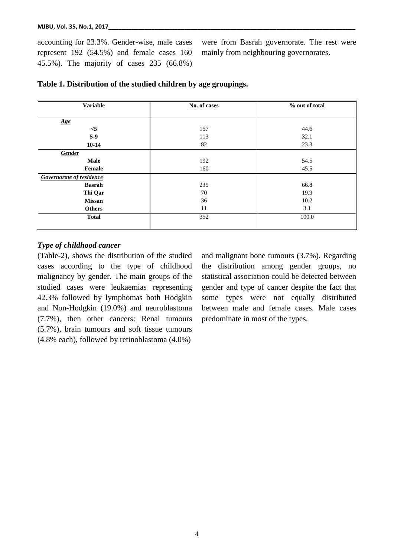accounting for 23.3%. Gender-wise, male cases represent 192 (54.5%) and female cases 160 45.5%). The majority of cases 235 (66.8%)

were from Basrah governorate. The rest were mainly from neighbouring governorates.

| <b>Variable</b>          | No. of cases | % out of total |  |  |
|--------------------------|--------------|----------------|--|--|
|                          |              |                |  |  |
| Age                      |              |                |  |  |
| $<$ 5                    | 157          | 44.6           |  |  |
| $5-9$                    | 113          | 32.1           |  |  |
| $10-14$                  | 82           | 23.3           |  |  |
| Gender                   |              |                |  |  |
| Male                     | 192          | 54.5           |  |  |
| Female                   | 160          | 45.5           |  |  |
| Governorate of residence |              |                |  |  |
| <b>Basrah</b>            | 235          | 66.8           |  |  |
| Thi Qar                  | 70           | 19.9           |  |  |
| <b>Missan</b>            | 36           | 10.2           |  |  |
| <b>Others</b>            | 11           | 3.1            |  |  |
| <b>Total</b>             | 352          | 100.0          |  |  |
|                          |              |                |  |  |

### **Table 1. Distribution of the studied children by age groupings.**

#### *Type of childhood cancer*

(Table-2), shows the distribution of the studied cases according to the type of childhood malignancy by gender. The main groups of the studied cases were leukaemias representing 42.3% followed by lymphomas both Hodgkin and Non-Hodgkin (19.0%) and neuroblastoma (7.7%), then other cancers: Renal tumours (5.7%), brain tumours and soft tissue tumours (4.8% each), followed by retinoblastoma (4.0%)

and malignant bone tumours (3.7%). Regarding the distribution among gender groups, no statistical association could be detected between gender and type of cancer despite the fact that some types were not equally distributed between male and female cases. Male cases predominate in most of the types.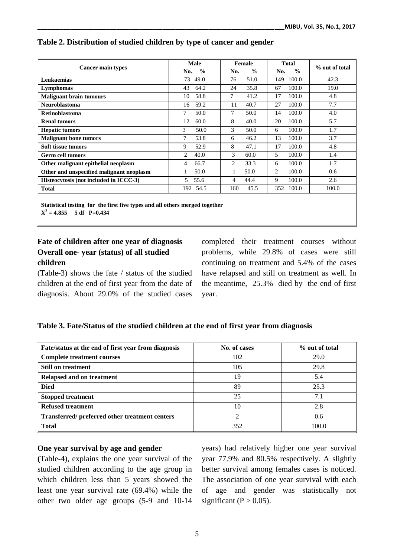| Cancer main types                        | <b>Male</b><br>$\frac{0}{0}$<br>No. | Female<br>$\frac{0}{0}$<br>No. | <b>Total</b><br>$\frac{0}{0}$<br>No. | % out of total |
|------------------------------------------|-------------------------------------|--------------------------------|--------------------------------------|----------------|
| <b>Leukaemias</b>                        | 73<br>49.0                          | 76<br>51.0                     | 100.0<br>149                         | 42.3           |
| Lymphomas                                | 43<br>64.2                          | 35.8<br>24                     | 100.0<br>67                          | 19.0           |
| <b>Malignant brain tumours</b>           | 58.8<br>10                          | $\overline{7}$<br>41.2         | 100.0<br>17                          | 4.8            |
| <b>Neuroblastoma</b>                     | 59.2<br>16                          | 11<br>40.7                     | 27<br>100.0                          | 7.7            |
| <b>Retinoblastoma</b>                    | 7<br>50.0                           | 7<br>50.0                      | 100.0<br>14                          | 4.0            |
| <b>Renal tumors</b>                      | 12<br>60.0                          | 8<br>40.0                      | 100.0<br>20                          | 5.7            |
| <b>Hepatic tumors</b>                    | 3<br>50.0                           | 3<br>50.0                      | 100.0<br>6                           | 1.7            |
| <b>Malignant bone tumors</b>             | 7<br>53.8                           | 46.2<br>6                      | 100.0<br>13                          | 3.7            |
| Soft tissue tumors                       | 9<br>52.9                           | 8<br>47.1                      | 100.0<br>17                          | 4.8            |
| <b>Germ cell tumors</b>                  | 2<br>40.0                           | 3<br>60.0                      | 5<br>100.0                           | 1.4            |
| Other malignant epithelial neoplasm      | 66.7<br>4                           | 33.3<br>2                      | 100.0<br>6                           | 1.7            |
| Other and unspecified malignant neoplasm | 50.0                                | 50.0                           | 100.0<br>2                           | 0.6            |
| Histeocytosis (not included in ICCC-3)   | 5<br>55.6                           | 44.4<br>4                      | 9<br>100.0                           | 2.6            |
| <b>Total</b>                             | 192 54.5                            | 45.5<br>160                    | 100.0<br>352                         | 100.0          |
|                                          |                                     |                                |                                      |                |

#### **Table 2. Distribution of studied children by type of cancer and gender**

**Statistical testing for the first five types and all others merged together**  $X^2 = 4.855$  5 df P=0.434

## **Fate of children after one year of diagnosis Overall one- year (status) of all studied children**

 $(Table-3)$  shows the fate / status of the studied children at the end of first year from the date of diagnosis. About 29.0% of the studied cases completed their treatment courses without problems, while 29.8% of cases were still continuing on treatment and 5.4% of the cases have relapsed and still on treatment as well. In the meantime, 25.3% died by the end of first year.

### **Table 3. Fate/Status of the studied children at the end of first year from diagnosis**

| Fate/status at the end of first year from diagnosis | No. of cases | % out of total |
|-----------------------------------------------------|--------------|----------------|
| <b>Complete treatment courses</b>                   | 102          | 29.0           |
| <b>Still on treatment</b>                           | 105          | 29.8           |
| Relapsed and on treatment                           | 19           | 5.4            |
| <b>Died</b>                                         | 89           | 25.3           |
| <b>Stopped treatment</b>                            | 25           | 7.1            |
| <b>Refused treatment</b>                            | 10           | 2.8            |
| Transferred/preferred other treatment centers       | ∍            | 0.6            |
| <b>Total</b>                                        | 352          | 100.0          |

#### **One year survival by age and gender**

**(**Table-4), explains the one year survival of the studied children according to the age group in which children less than 5 years showed the least one year survival rate (69.4%) while the other two older age groups (5-9 and 10-14

years) had relatively higher one year survival year 77.9% and 80.5% respectively. A slightly better survival among females cases is noticed. The association of one year survival with each of age and gender was statistically not significant ( $P > 0.05$ ).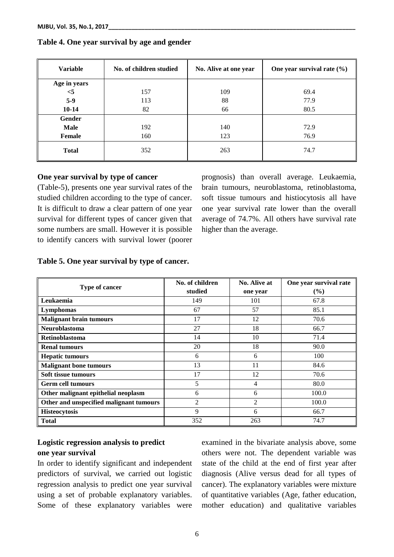| <b>Variable</b> | No. of children studied | No. Alive at one year | One year survival rate $(\% )$ |  |
|-----------------|-------------------------|-----------------------|--------------------------------|--|
| Age in years    |                         |                       |                                |  |
| $<$ 5           | 157                     | 109                   | 69.4                           |  |
| $5-9$           | 113                     | 88                    | 77.9                           |  |
| $10 - 14$       | 82                      | 66                    | 80.5                           |  |
| <b>Gender</b>   |                         |                       |                                |  |
| <b>Male</b>     | 192                     | 140                   | 72.9                           |  |
| Female          | 160                     | 123                   | 76.9                           |  |
| <b>Total</b>    | 352                     | 263                   | 74.7                           |  |

## **Table 4. One year survival by age and gender**

#### **One year survival by type of cancer**

(Table-5), presents one year survival rates of the studied children according to the type of cancer. It is difficult to draw a clear pattern of one year survival for different types of cancer given that some numbers are small. However it is possible to identify cancers with survival lower (poorer

prognosis) than overall average. Leukaemia, brain tumours, neuroblastoma, retinoblastoma, soft tissue tumours and histiocytosis all have one year survival rate lower than the overall average of 74.7%. All others have survival rate higher than the average.

#### **Table 5. One year survival by type of cancer.**

|                                         | No. of children | No. Alive at   | One year survival rate |  |
|-----------------------------------------|-----------------|----------------|------------------------|--|
| Type of cancer                          | studied         | one year       | $(\%)$                 |  |
| Leukaemia                               | 149             | 101            | 67.8                   |  |
| Lymphomas                               | 67              | 57             | 85.1                   |  |
| <b>Malignant brain tumours</b>          | 17              | 12             | 70.6                   |  |
| <b>Neuroblastoma</b>                    | 27              | 18             | 66.7                   |  |
| <b>Retinoblastoma</b>                   | 14              | 10             | 71.4                   |  |
| <b>Renal tumours</b>                    | 20              | 18             | 90.0                   |  |
| <b>Hepatic tumours</b>                  | 6               | 6              | 100                    |  |
| <b>Malignant bone tumours</b>           | 13              | 11             | 84.6                   |  |
| Soft tissue tumours                     | 17              | 12             | 70.6                   |  |
| <b>Germ cell tumours</b>                | 5               | 4              | 80.0                   |  |
| Other malignant epithelial neoplasm     | 6               | 6              | 100.0                  |  |
| Other and unspecified malignant tumours | $\overline{2}$  | $\overline{c}$ | 100.0                  |  |
| <b>Histeocytosis</b>                    | 9               | 6              | 66.7                   |  |
| <b>Total</b>                            | 352             | 263            | 74.7                   |  |

## **Logistic regression analysis to predict one year survival**

In order to identify significant and independent predictors of survival, we carried out logistic regression analysis to predict one year survival using a set of probable explanatory variables. Some of these explanatory variables were examined in the bivariate analysis above, some others were not. The dependent variable was state of the child at the end of first year after diagnosis (Alive versus dead for all types of cancer). The explanatory variables were mixture of quantitative variables (Age, father education, mother education) and qualitative variables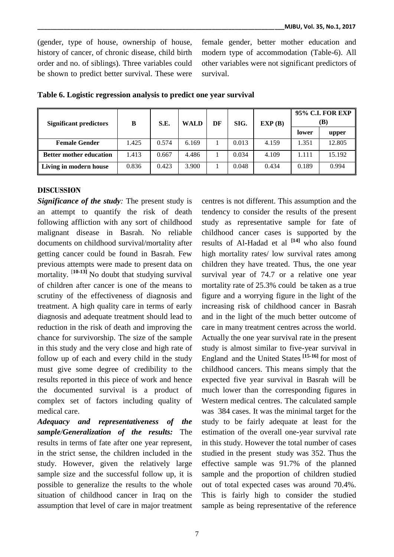(gender, type of house, ownership of house, history of cancer, of chronic disease, child birth order and no. of siblings). Three variables could be shown to predict better survival. These were

female gender, better mother education and modern type of accommodation (Table-6). All other variables were not significant predictors of survival.

| <b>Significant predictors</b>  | B     | S.E.  | DF<br><b>WALD</b> |  | SIG.  | EXP(B) | <b>95% C.I. FOR EXP</b><br>(B) |        |
|--------------------------------|-------|-------|-------------------|--|-------|--------|--------------------------------|--------|
|                                |       |       |                   |  |       |        | lower                          | upper  |
| <b>Female Gender</b>           | 1.425 | 0.574 | 6.169             |  | 0.013 | 4.159  | 1.351                          | 12.805 |
| <b>Better mother education</b> | 1.413 | 0.667 | 4.486             |  | 0.034 | 4.109  | 1.111                          | 15.192 |
| Living in modern house         | 0.836 | 0.423 | 3.900             |  | 0.048 | 0.434  | 0.189                          | 0.994  |

**Table 6. Logistic regression analysis to predict one year survival** 

#### **DISCUSSION**

*Significance of the study:* The present study is an attempt to quantify the risk of death following affliction with any sort of childhood malignant disease in Basrah. No reliable documents on childhood survival/mortality after getting cancer could be found in Basrah. Few previous attempts were made to present data on mortality. [**10-13]** No doubt that studying survival of children after cancer is one of the means to scrutiny of the effectiveness of diagnosis and treatment. A high quality care in terms of early diagnosis and adequate treatment should lead to reduction in the risk of death and improving the chance for survivorship. The size of the sample in this study and the very close and high rate of follow up of each and every child in the study must give some degree of credibility to the results reported in this piece of work and hence the documented survival is a product of complex set of factors including quality of medical care.

*Adequacy and representativeness of the sample/Generalization of the results:* The results in terms of fate after one year represent, in the strict sense, the children included in the study. However, given the relatively large sample size and the successful follow up, it is possible to generalize the results to the whole situation of childhood cancer in Iraq on the assumption that level of care in major treatment

centres is not different. This assumption and the tendency to consider the results of the present study as representative sample for fate of childhood cancer cases is supported by the results of Al-Hadad et al **[14]** who also found high mortality rates/ low survival rates among children they have treated. Thus, the one year survival year of 74.7 or a relative one year mortality rate of 25.3% could be taken as a true figure and a worrying figure in the light of the increasing risk of childhood cancer in Basrah and in the light of the much better outcome of care in many treatment centres across the world. Actually the one year survival rate in the present study is almost similar to five-year survival in Englandand the United States **[15-16]** for most of childhood cancers. This means simply that the expected five year survival in Basrah will be much lower than the corresponding figures in Western medical centres. The calculated sample was 384 cases. It was the minimal target for the study to be fairly adequate at least for the estimation of the overall one-year survival rate in this study. However the total number of cases studied in the present study was 352. Thus the effective sample was 91.7% of the planned sample and the proportion of children studied out of total expected cases was around 70.4%. This is fairly high to consider the studied sample as being representative of the reference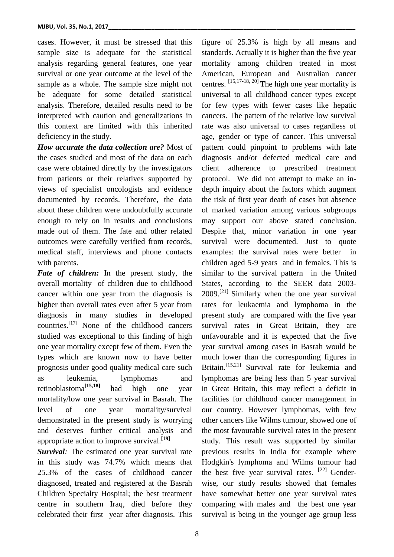cases. However, it must be stressed that this sample size is adequate for the statistical analysis regarding general features, one year survival or one year outcome at the level of the sample as a whole. The sample size might not be adequate for some detailed statistical analysis. Therefore, detailed results need to be interpreted with caution and generalizations in this context are limited with this inherited deficiency in the study.

*How accurate the data collection are?* Most of the cases studied and most of the data on each case were obtained directly by the investigators from patients or their relatives supported by views of specialist oncologists and evidence documented by records. Therefore, the data about these children were undoubtfully accurate enough to rely on in results and conclusions made out of them. The fate and other related outcomes were carefully verified from records, medical staff, interviews and phone contacts with parents.

*Fate of children:* In the present study, the overall mortality of children due to childhood cancer within one year from the diagnosis is higher than overall rates even after 5 year from diagnosis in many studies in developed countries.[17] None of the childhood cancers studied was exceptional to this finding of high one year mortality except few of them. Even the types which are known now to have better prognosis under good quality medical care such as leukemia, lymphomas and retinoblastoma**[15,18]** had high one year mortality/low one year survival in Basrah. The level of one year mortality/survival demonstrated in the present study is worrying and deserves further critical analysis and appropriate action to improve survival.[**19]**

*Survival:* The estimated one year survival rate in this study was 74.7% which means that 25.3% of the cases of childhood cancer diagnosed, treated and registered at the Basrah Children Specialty Hospital; the best treatment centre in southern Iraq, died before they celebrated their first year after diagnosis. This

figure of 25.3% is high by all means and standards. Actually it is higher than the five year mortality among children treated in most American, European and Australian cancer centres. [15,17-18, 20] The high one year mortality is universal to all childhood cancer types except for few types with fewer cases like hepatic cancers. The pattern of the relative low survival rate was also universal to cases regardless of age, gender or type of cancer. This universal pattern could pinpoint to problems with late diagnosis and/or defected medical care and client adherence to prescribed treatment protocol. We did not attempt to make an indepth inquiry about the factors which augment the risk of first year death of cases but absence of marked variation among various subgroups may support our above stated conclusion. Despite that, minor variation in one year survival were documented. Just to quote examples: the survival rates were better in children aged 5-9 years and in females. This is similar to the survival pattern in the United States, according to the SEER data 2003-  $2009$ .<sup>[21]</sup> Similarly when the one year survival rates for leukaemia and lymphoma in the present study are compared with the five year survival rates in Great Britain, they are unfavourable and it is expected that the five year survival among cases in Basrah would be much lower than the corresponding figures in Britain.<sup>[15,21]</sup> Survival rate for leukemia and lymphomas are being less than 5 year survival in Great Britain, this may reflect a deficit in facilities for childhood cancer management in our country. However lymphomas, with few other cancers like Wilms tumour, showed one of the most favourable survival rates in the present study. This result was supported by similar previous results in India for example where Hodgkin's lymphoma and Wilms tumour had the best five year survival rates. <sup>[22]</sup> Genderwise, our study results showed that females have somewhat better one year survival rates comparing with males and the best one year survival is being in the younger age group less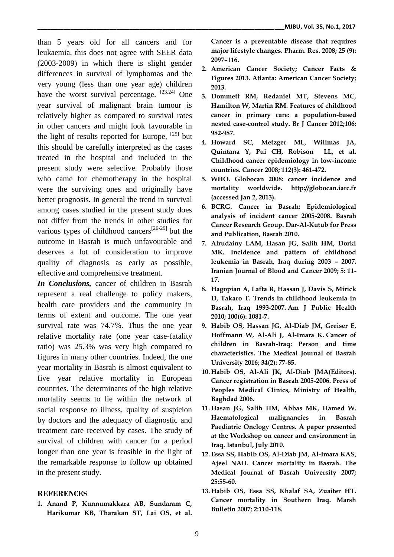than 5 years old for all cancers and for leukaemia, this does not agree with SEER data (2003-2009) in which there is slight gender differences in survival of lymphomas and the very young (less than one year age) children have the worst survival percentage.  $[23,24]$  One year survival of malignant brain tumour is relatively higher as compared to survival rates in other cancers and might look favourable in the light of results reported for Europe,  $^{[25]}$  but this should be carefully interpreted as the cases treated in the hospital and included in the present study were selective. Probably those who came for chemotherapy in the hospital were the surviving ones and originally have better prognosis. In general the trend in survival among cases studied in the present study does not differ from the trends in other studies for various types of childhood cancers<sup>[26-29]</sup> but the outcome in Basrah is much unfavourable and deserves a lot of consideration to improve quality of diagnosis as early as possible, effective and comprehensive treatment.

*In Conclusions,* cancer of children in Basrah represent a real challenge to policy makers, health care providers and the community in terms of extent and outcome. The one year survival rate was 74.7%. Thus the one year relative mortality rate (one year case-fatality ratio) was 25.3% was very high compared to figures in many other countries. Indeed, the one year mortality in Basrah is almost equivalent to five year relative mortality in European countries. The determinants of the high relative mortality seems to lie within the network of social response to illness, quality of suspicion by doctors and the adequacy of diagnostic and treatment care received by cases. The study of survival of children with cancer for a period longer than one year is feasible in the light of the remarkable response to follow up obtained in the present study.

### **REFERENCES**

**1. Anand P, Kunnumakkara AB, Sundaram C, Harikumar KB, Tharakan ST, Lai OS, et al.**  **Cancer is a preventable disease that requires major lifestyle changes. Pharm. Res. 2008; 25 (9): 2097–116.**

- **2. American Cancer Society; Cancer Facts & Figures 2013. Atlanta: American Cancer Society; 2013.**
- **3. Dommett RM, Redaniel MT, Stevens MC, Hamilton W, Martin RM. Features of childhood cancer in primary care: a population-based nested case-control study. Br J Cancer 2012;106: 982-987.**
- **4. Howard SC, Metzger ML, Wilimas JA, Quintana Y, Pui CH, Robison LL, et al. Childhood cancer epidemiology in low-income countries. Cancer 2008; 112(3): 461-472.**
- **5. WHO. Globocan 2008: cancer incidence and mortality worldwide. http://globocan.iarc.fr (accessed Jan 2, 2013).**
- **6. BCRG. Cancer in Basrah: Epidemiological analysis of incident cancer 2005-2008. Basrah Cancer Research Group. Dar-Al-Kutub for Press and Publication, Basrah 2010.**
- **7. Alrudainy LAM, Hasan JG, Salih HM, Dorki MK. Incidence and pattern of childhood leukemia in Basrah, Iraq during 2003 – 2007. Iranian Journal of Blood and Cancer 2009; 5: 11- 17.**
- **8. Hagopian A, Lafta R, Hassan J, Davis S, Mirick D, Takaro T. Trends in childhood leukemia in Basrah, Iraq 1993-2007. Am J Public Health 2010; 100(6): 1081-7.**
- **9. Habib OS, Hassan JG, Al-Diab JM, Greiser E, Hoffmann W, Al-Ali J, Al-Imara K. Cancer of children in Basrah-Iraq: Person and time characteristics. The Medical Journal of Basrah University 2016; 34(2): 77-85.**
- **10. Habib OS, Al-Ali JK, Al-Diab JMA(Editors). Cancer registration in Basrah 2005-2006. Press of Peoples Medical Clinics, Ministry of Health, Baghdad 2006.**
- **11. Hasan JG, Salih HM, Abbas MK, Hamed W. Haematological malignancies in Basrah Paediatric Onclogy Centres. A paper presented at the Workshop on cancer and environment in Iraq. Istanbul, July 2010.**
- **12. Essa SS, Habib OS, Al-Diab JM, Al-Imara KAS, Ajeel NAH. Cancer mortality in Basrah. The Medical Journal of Basrah University 2007; 25:55-60.**
- **13. Habib OS, Essa SS, Khalaf SA, Zuaiter HT. Cancer mortality in Southern Iraq. Marsh Bulletin 2007; 2:110-118.**